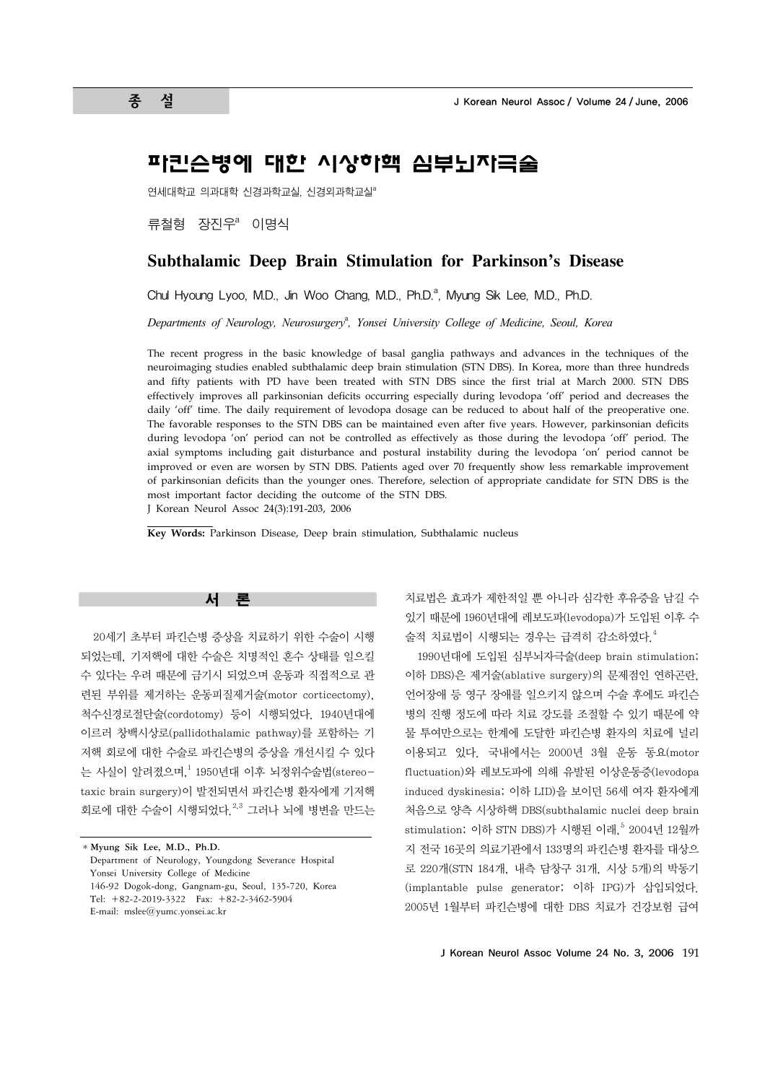# 파킨슨병에 대한 시상하핵 심부뇌자극술

연세대학교 의과대학 신경과학교실, 신경외과학교실 $a$ 

류철형 장진우<sup>a</sup> 이명식

# **Subthalamic Deep Brain Stimulation for Parkinson's Disease**

Chul Hyoung Lyoo, M.D., Jin Woo Chang, M.D., Ph.D.<sup>a</sup>, Myung Sik Lee, M.D., Ph.D.

Departments of Neurology, Neurosurgery<sup>a</sup>, Yonsei University College of Medicine, Seoul, Korea

The recent progress in the basic knowledge of basal ganglia pathways and advances in the techniques of the neuroimaging studies enabled subthalamic deep brain stimulation (STN DBS). In Korea, more than three hundreds and fifty patients with PD have been treated with STN DBS since the first trial at March 2000. STN DBS effectively improves all parkinsonian deficits occurring especially during levodopa 'off' period and decreases the daily 'off' time. The daily requirement of levodopa dosage can be reduced to about half of the preoperative one. The favorable responses to the STN DBS can be maintained even after five years. However, parkinsonian deficits during levodopa 'on' period can not be controlled as effectively as those during the levodopa 'off' period. The axial symptoms including gait disturbance and postural instability during the levodopa 'on' period cannot be improved or even are worsen by STN DBS. Patients aged over 70 frequently show less remarkable improvement of parkinsonian deficits than the younger ones. Therefore, selection of appropriate candidate for STN DBS is the most important factor deciding the outcome of the STN DBS. J Korean Neurol Assoc 24(3):191-203, 2006

**Key Words:** Parkinson Disease, Deep brain stimulation, Subthalamic nucleus



20세기 초부터 파킨슨병 증상을 치료하기 위한 수술이 시행 되었는데, 기저핵에 대한 수술은 치명적인 혼수 상태를 일으킬 수 있다는 우려 때문에 금기시 되었으며 운동과 직접적으로 관 련된 부위를 제거하는 운동피질제거술(motor corticectomy), 척수신경로절단술(cordotomy) 등이 시행되었다. 1940년대에 이르러 창백시상로(pallidothalamic pathway)를 포함하는 기 저핵 회로에 대한 수술로 파킨슨병의 증상을 개선시킬 수 있다 는 사실이 알려졌으며, $^1$  1950년대 이후 뇌정위수술법(stereotaxic brain surgery)이 발전되면서 파킨슨병 환자에게 기저핵 회로에 대한 수술이 시행되었다.  $^{2,3}$  그러나 뇌에 병변을 만드는

치료법은 효과가 제한적일 뿐 아니라 심각한 후유증을 남길 수 있기 때문에 1960년대에 레보도파(levodopa)가 도입된 이후 수 술적 치료법이 시행되는 경우는 급격히 감소하였다.4

1990년대에 도입된 심부뇌자극술(deep brain stimulation; 이하 DBS)은 제거술(ablative surgery)의 문제점인 연하곤란, 언어장애 등 영구 장애를 일으키지 않으며 수술 후에도 파킨슨 병의 진행 정도에 따라 치료 강도를 조절할 수 있기 때문에 약 물 투여만으로는 한계에 도달한 파킨슨병 환자의 치료에 널리 이용되고 있다. 국내에서는 2000년 3월 운동 동요(motor fluctuation)와 레보도파에 의해 유발된 이상운동증(levodopa induced dyskinesia; 이하 LID)을 보이던 56세 여자 환자에게 처음으로 양측 시상하핵 DBS(subthalamic nuclei deep brain stimulation; 이하 STN DBS)가 시행된 이래,<sup>5</sup> 2004년 12월까 지 전국 16곳의 의료기관에서 133명의 파킨슨병 환자를 대상으 로 220개(STN 184개, 내측 담창구 31개, 시상 5개)의 박동기 (implantable pulse generator; 이하 IPG)가 삽입되었다. 2005년 1월부터 파킨슨병에 대한 DBS 치료가 건강보험 급여

<sup>\*</sup>**Myung Sik Lee, M.D., Ph.D.** Department of Neurology, Youngdong Severance Hospital Yonsei University College of Medicine 146-92 Dogok-dong, Gangnam-gu, Seoul, 135-720, Korea Tel: +82-2-2019-3322 Fax: +82-2-3462-5904 E-mail: mslee@yumc.yonsei.ac.kr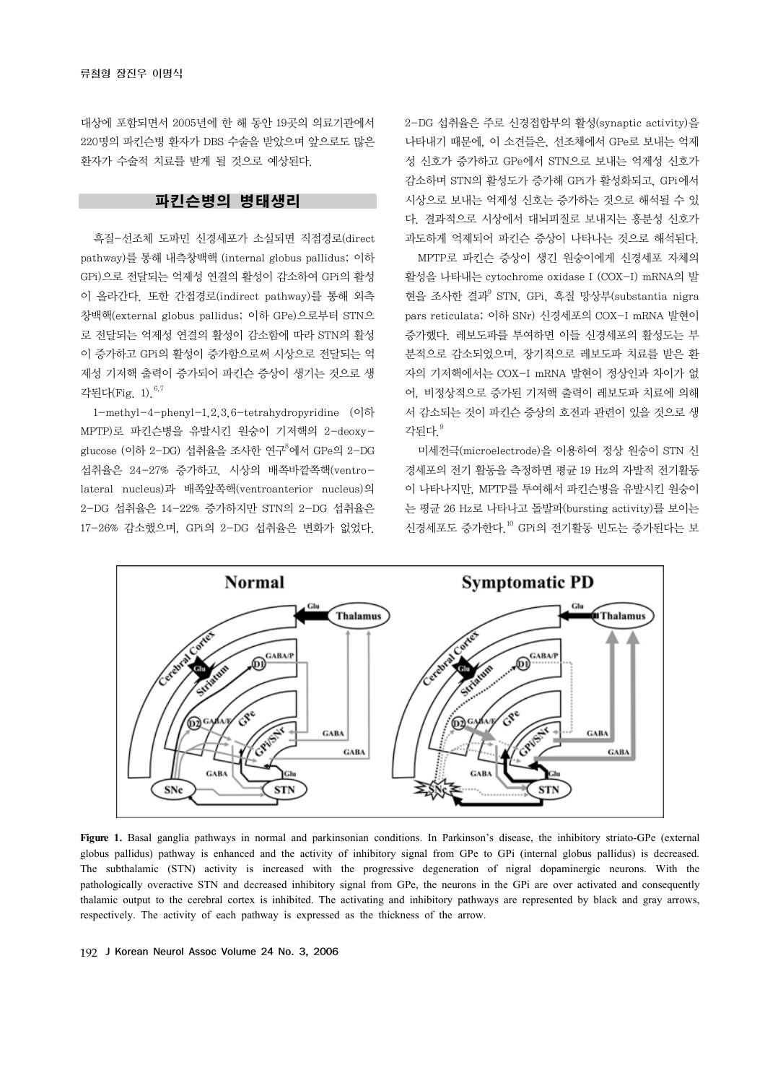대상에 포함되면서 2005년에 한 해 동안 19곳의 의료기관에서 220명의 파킨슨병 환자가 DBS 수술을 받았으며 앞으로도 많은 환자가 수술적 치료를 받게 될 것으로 예상된다.

# 파킨슨병의 병태생리

흑질-선조체 도파민 신경세포가 소실되면 직접경로(direct pathway)를 통해 내측창백핵 (internal globus pallidus; 이하 GPi)으로 전달되는 억제성 연결의 활성이 감소하여 GPi의 활성 이 올라간다. 또한 간접경로(indirect pathway)를 통해 외측 창백핵(external globus pallidus; 이하 GPe)으로부터 STN으 로 전달되는 억제성 연결의 활성이 감소함에 따라 STN의 활성 이 증가하고 GPi의 활성이 증가함으로써 시상으로 전달되는 억 제성 기저핵 출력이 증가되어 파킨슨 증상이 생기는 것으로 생 각된다(Fig. 1).6,7

1-methyl-4-phenyl-1,2,3,6-tetrahydropyridine (이하 MPTP)로 파킨슨병을 유발시킨 원숭이 기저핵의 2-deoxyglucose (이하 2–DG) 섭취율을 조사한 연구<sup>8</sup>에서 GPe의 2–DG 섭취율은 24-27% 증가하고, 시상의 배쪽바깥쪽핵(ventrolateral nucleus)과 배쪽앞쪽핵(ventroanterior nucleus)의 2-DG 섭취율은 14-22% 증가하지만 STN의 2-DG 섭취율은 17-26% 감소했으며, GPi의 2-DG 섭취율은 변화가 없었다.

2-DG 섭취율은 주로 신경접합부의 활성(synaptic activity)을 나타내기 때문에, 이 소견들은, 선조체에서 GPe로 보내는 억제 성 신호가 증가하고 GPe에서 STN으로 보내는 억제성 신호가 감소하며 STN의 활성도가 증가해 GPi가 활성화되고, GPi에서 시상으로 보내는 억제성 신호는 증가하는 것으로 해석될 수 있 다. 결과적으로 시상에서 대뇌피질로 보내지는 흥분성 신호가 과도하게 억제되어 파킨슨 증상이 나타나는 것으로 해석된다.

MPTP로 파킨슨 증상이 생긴 원숭이에게 신경세포 자체의 활성을 나타내는 cytochrome oxidase I (COX-I) mRNA의 발 현을 조사한 결과9 STN, GPi, 흑질 망상부(substantia nigra pars reticulata; 이하 SNr) 신경세포의 COX-I mRNA 발현이 증가했다. 레보도파를 투여하면 이들 신경세포의 활성도는 부 분적으로 감소되었으며, 장기적으로 레보도파 치료를 받은 환 자의 기저핵에서는 COX-I mRNA 발현이 정상인과 차이가 없 어, 비정상적으로 증가된 기저핵 출력이 레보도파 치료에 의해 서 감소되는 것이 파킨슨 증상의 호전과 관련이 있을 것으로 생 각된다.9

미세전극(microelectrode)을 이용하여 정상 원숭이 STN 신 경세포의 전기 활동을 측정하면 평균 19 Hz의 자발적 전기활동 이 나타나지만, MPTP를 투여해서 파킨슨병을 유발시킨 원숭이 는 평균 26 Hz로 나타나고 돌발파(bursting activity)를 보이는 신경세포도 증가한다.10 GPi의 전기활동 빈도는 증가된다는 보



**Figure 1.** Basal ganglia pathways in normal and parkinsonian conditions. In Parkinson's disease, the inhibitory striato-GPe (external globus pallidus) pathway is enhanced and the activity of inhibitory signal from GPe to GPi (internal globus pallidus) is decreased. The subthalamic (STN) activity is increased with the progressive degeneration of nigral dopaminergic neurons. With the pathologically overactive STN and decreased inhibitory signal from GPe, the neurons in the GPi are over activated and consequently thalamic output to the cerebral cortex is inhibited. The activating and inhibitory pathways are represented by black and gray arrows, respectively. The activity of each pathway is expressed as the thickness of the arrow.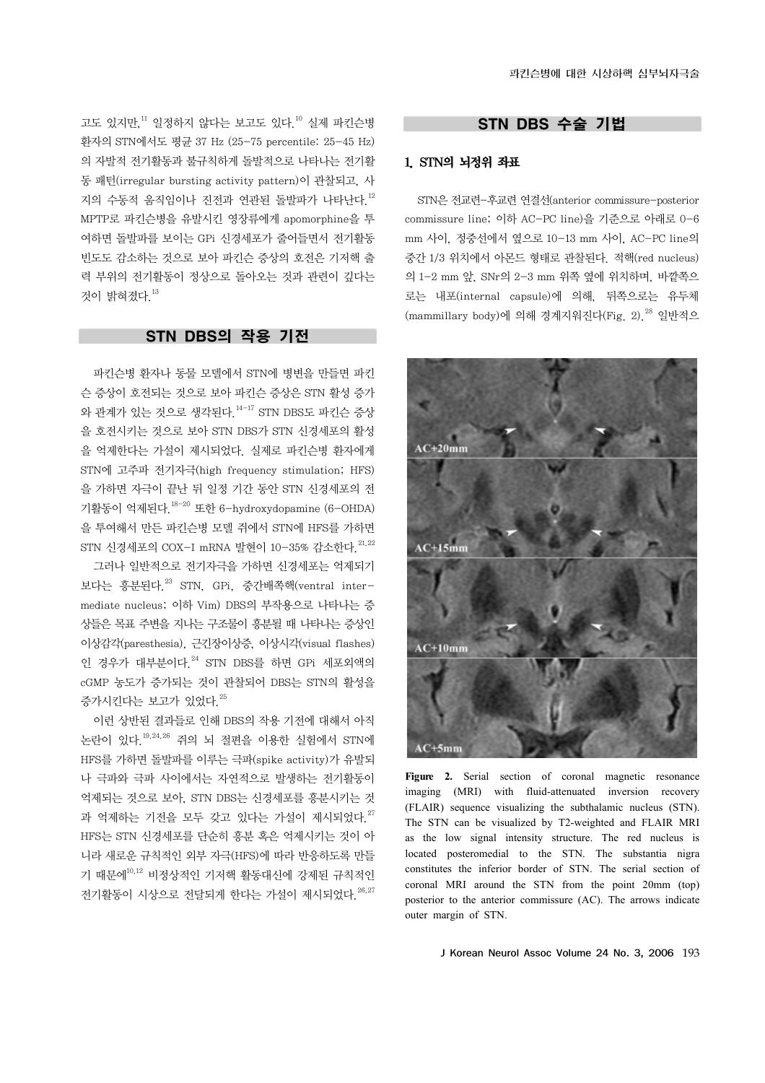고도 있지만,11 일정하지 않다는 보고도 있다.10 실제 파킨슨병 환자의 STN에서도 평균 37 Hz (25-75 percentile: 25-45 Hz) 의 자발적 전기활동과 불규칙하게 돌발적으로 나타나는 전기활 동 패턴(irregular bursting activity pattern)이 관찰되고, 사 지의 수동적 움직임이나 진전과 연관된 돌발파가 나타난다.12 MPTP로 파킨슨병을 유발시킨 영장류에게 apomorphine을 투 여하면 돌발파를 보이는 GPi 신경세포가 줄어들면서 전기활동 빈도도 감소하는 것으로 보아 파킨슨 증상의 호전은 기저핵 출 력 부위의 전기활동이 정상으로 돌아오는 것과 관련이 깊다는 것이 밝혀졌다. $13$ 

# STN DBS의 작용 기전

파킨슨병 환자나 동물 모델에서 STN에 병변을 만들면 파킨 슨 증상이 호전되는 것으로 보아 파킨슨 증상은 STN 활성 증가 와 관계가 있는 것으로 생각된다.14-17 STN DBS도 파킨슨 증상 을 호전시키는 것으로 보아 STN DBS가 STN 신경세포의 활성 을 억제한다는 가설이 제시되었다. 실제로 파킨슨병 환자에게 STN에 고주파 전기자극(high frequency stimulation; HFS) 을 가하면 자극이 끝난 뒤 일정 기간 동안 STN 신경세포의 전 기활동이 억제된다.18-20 또한 6-hydroxydopamine (6-OHDA) 을 투여해서 만든 파킨슨병 모델 쥐에서 STN에 HFS를 가하면 STN 신경세포의 COX-I mRNA 발현이 10-35% 감소한다.  $^{21,22}$ 

그러나 일반적으로 전기자극을 가하면 신경세포는 억제되기 보다는 흥분된다.23 STN, GPi, 중간배쪽핵(ventral intermediate nucleus; 이하 Vim) DBS의 부작용으로 나타나는 증 상들은 목표 주변을 지나는 구조물이 흥분될 때 나타나는 증상인 이상감각(paresthesia), 근긴장이상증, 이상시각(visual flashes) 인 경우가 대부분이다.<sup>24</sup> STN DBS를 하면 GPi 세포외액의 cGMP 농도가 증가되는 것이 관찰되어 DBS는 STN의 활성을 증가시키다는 보고가 있었다 25

이런 상반된 결과들로 인해 DBS의 작용 기전에 대해서 아직 논란이 있다.19,24,26 쥐의 뇌 절편을 이용한 실험에서 STN에 HFS를 가하면 돌발파를 이루는 극파(spike activity)가 유발되 나 극파와 극파 사이에서는 자연적으로 발생하는 전기활동이 억제되는 것으로 보아, STN DBS는 신경세포를 흥분시키는 것 과 억제하는 기전을 모두 갖고 있다는 가설이 제시되었다.<sup>27</sup> HFS는 STN 신경세포를 단순히 흥분 혹은 억제시키는 것이 아 니라 새로운 규칙적인 외부 자극(HFS)에 따라 반응하도록 만들 기 때문에<sup>10,12</sup> 비정상적인 기저핵 활동대신에 강제된 규칙적인 전기활동이 시상으로 전달되게 한다는 가설이 제시되었다.  $^{26,27}$ 

# STN DBS 수술 기법

### 1. STN의 뇌정위 좌표

STN은 전교련-후교련 연결선(anterior commissure-posterior commissure line; 이하 AC-PC line)을 기준으로 아래로 0-6 mm 사이, 정중선에서 옆으로 10-13 mm 사이, AC-PC line의 중간 1/3 위치에서 아몬드 형태로 관찰된다. 적핵(red nucleus) 의 1-2 mm 앞, SNr의 2-3 mm 위쪽 옆에 위치하며, 바깥쪽으 로는 내포(internal capsule)에 의해, 뒤쪽으로는 유두체  $(\text{mammillary body})$ 에 의해 경계지워진다 $(\text{Fig. 2})^{28}$  일반적으



Figure 2. Serial section of coronal magnetic resonance imaging (MRI) with fluid-attenuated inversion recovery (FLAIR) sequence visualizing the subthalamic nucleus (STN). The STN can be visualized by T2-weighted and FLAIR MRI as the low signal intensity structure. The red nucleus is located posteromedial to the STN. The substantia nigra constitutes the inferior border of STN. The serial section of coronal MRI around the STN from the point 20mm (top) posterior to the anterior commissure (AC). The arrows indicate outer margin of STN.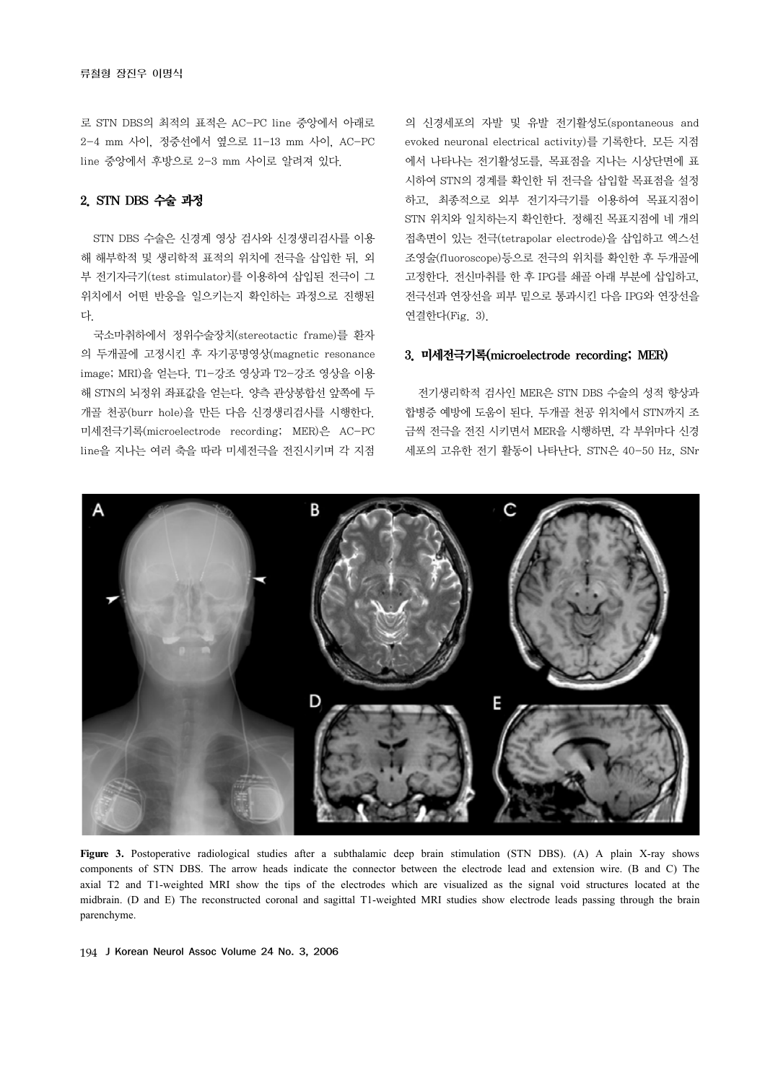로 STN DBS의 최적의 표적은 AC-PC line 중앙에서 아래로 2-4 mm 사이, 정중선에서 옆으로 11-13 mm 사이, AC-PC line 중앙에서 후방으로 2-3 mm 사이로 알려져 있다.

#### 2. STN DBS 수술 과정

STN DBS 수술은 신경계 영상 검사와 신경생리검사를 이용 해 해부학적 및 생리학적 표적의 위치에 전극을 삽입한 뒤, 외 부 전기자극기(test stimulator)를 이용하여 삽입된 전극이 그 위치에서 어떤 반응을 일으키는지 확인하는 과정으로 진행된 다.

국소마취하에서 정위수술장치(stereotactic frame)를 환자 의 두개골에 고정시킨 후 자기공명영상(magnetic resonance image; MRI)을 얻는다. T1-강조 영상과 T2-강조 영상을 이용 해 STN의 뇌정위 좌표값을 얻는다. 양측 관상봉합선 앞쪽에 두 개골 천공(burr hole)을 만든 다음 신경생리검사를 시행한다. 미세전극기록(microelectrode recording; MER)은 AC-PC line을 지나는 여러 축을 따라 미세전극을 전진시키며 각 지점

의 신경세포의 자발 및 유발 전기활성도(spontaneous and evoked neuronal electrical activity)를 기록한다. 모든 지점 에서 나타나는 전기활성도를, 목표점을 지나는 시상단면에 표 시하여 STN의 경계를 확인한 뒤 전극을 삽입할 목표점을 설정 하고, 최종적으로 외부 전기자극기를 이용하여 목표지점이 STN 위치와 일치하는지 확인한다. 정해진 목표지점에 네 개의 접촉면이 있는 전극(tetrapolar electrode)을 삽입하고 엑스선 조영술(fluoroscope)등으로 전극의 위치를 확인한 후 두개골에 고정한다. 전신마취를 한 후 IPG를 쇄골 아래 부분에 삽입하고, 전극선과 연장선을 피부 밑으로 통과시킨 다음 IPG와 연장선을 연결한다(Fig. 3).

#### 3. 미세전극기록(microelectrode recording; MER)

전기생리학적 검사인 MER은 STN DBS 수술의 성적 향상과 합병증 예방에 도움이 된다. 두개골 천공 위치에서 STN까지 조 금씩 전극을 전진 시키면서 MER을 시행하면, 각 부위마다 신경 세포의 고유한 전기 활동이 나타난다. STN은 40-50 Hz, SNr



**Figure 3.** Postoperative radiological studies after a subthalamic deep brain stimulation (STN DBS). (A) A plain X-ray shows components of STN DBS. The arrow heads indicate the connector between the electrode lead and extension wire. (B and C) The axial T2 and T1-weighted MRI show the tips of the electrodes which are visualized as the signal void structures located at the midbrain. (D and E) The reconstructed coronal and sagittal T1-weighted MRI studies show electrode leads passing through the brain parenchyme.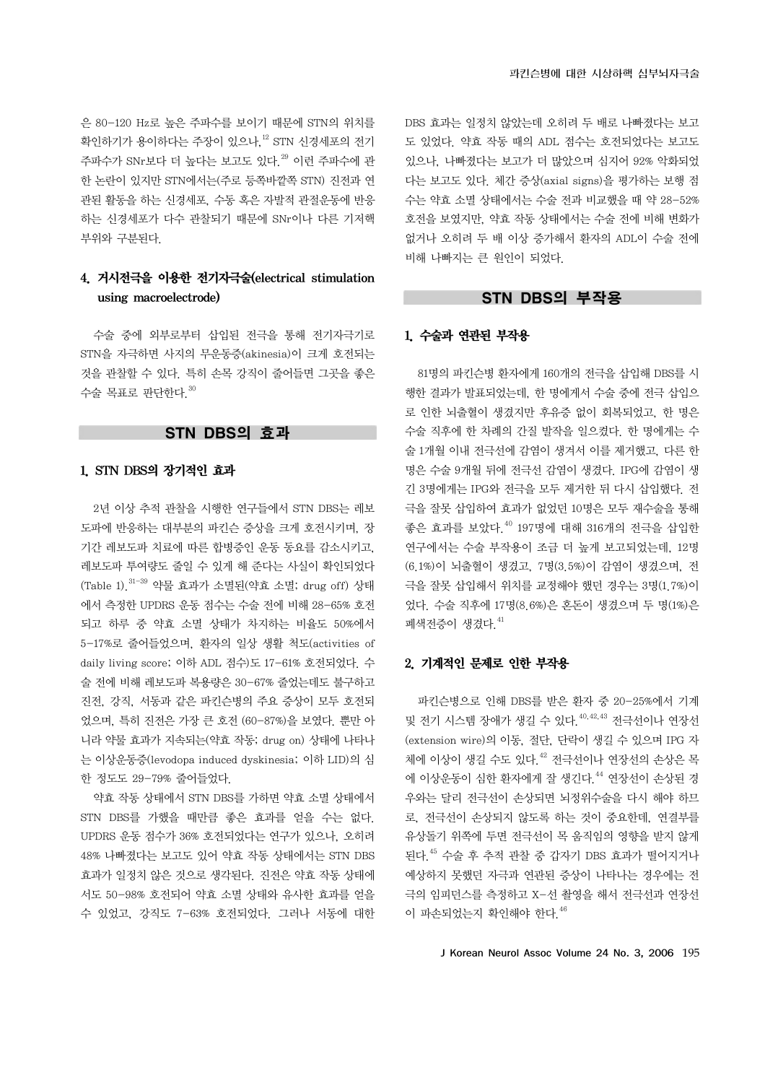은 80-120 Hz로 높은 주파수를 보이기 때문에 STN의 위치를 확인하기가 용이하다는 주장이 있으나.<sup>12</sup> STN 신경세포의 전기 주파수가 SNr보다 더 높다는 보고도 있다.<sup>29</sup> 이런 주파수에 관 한 논란이 있지만 STN에서는(주로 등쪽바깥쪽 STN) 진전과 연 관된 활동을 하는 신경세포, 수동 혹은 자발적 관절운동에 반응 하는 신경세포가 다수 관찰되기 때문에 SNr이나 다른 기저핵 부위와 구분된다.

# 4. 거시전극을 이용한 전기자극술(electrical stimulation using macroelectrode)

수술 중에 외부로부터 삽입된 전극을 통해 전기자극기로 STN을 자극하면 사지의 무운동증(akinesia)이 크게 호전되는 것을 관찰할 수 있다. 특히 손목 강직이 줄어들면 그곳을 좋은 수술 목표로 판단한다. $30$ 

# STN DBS의 효과

# 1. STN DBS의 장기적인 효과

2년 이상 추적 관찰을 시행한 연구들에서 STN DBS는 레보 도파에 반응하는 대부분의 파킨슨 증상을 크게 호전시키며, 장 기간 레보도파 치료에 따른 합병증인 운동 동요를 감소시키고, 레보도파 투여량도 줄일 수 있게 해 준다는 사실이 확인되었다  $(Table 1)$   $31-39$  약물 효과가 소멸되 $($ 약효 소멸; drug off) 상태 에서 측정한 UPDRS 운동 점수는 수술 전에 비해 28-65% 호전 되고 하루 중 약효 소멸 상태가 차지하는 비율도 50%에서 5-17%로 줄어들었으며, 환자의 일상 생활 척도(activities of daily living score; 이하 ADL 점수)도 17-61% 호전되었다. 수 술 전에 비해 레보도파 복용량은 30-67% 줄었는데도 불구하고 진전, 강직, 서동과 같은 파킨슨병의 주요 증상이 모두 호전되 었으며, 특히 진전은 가장 큰 호전 (60-87%)을 보였다. 뿐만 아 니라 약물 효과가 지속되는(약효 작동; drug on) 상태에 나타나 는 이상운동증(levodopa induced dyskinesia; 이하 LID)의 심 한 정도도 29-79% 줄어들었다.

약효 작동 상태에서 STN DBS를 가하면 약효 소멸 상태에서 STN DBS를 가했을 때만큼 좋은 효과를 얻을 수는 없다. UPDRS 운동 점수가 36% 호전되었다는 연구가 있으나, 오히려 48% 나빠졌다는 보고도 있어 약효 작동 상태에서는 STN DBS 효과가 일정치 않은 것으로 생각된다. 진전은 약효 작동 상태에 서도 50-98% 호전되어 약효 소멸 상태와 유사한 효과를 얻을 수 있었고, 강직도 7-63% 호전되었다. 그러나 서동에 대한 DBS 효과는 일정치 않았는데 오히려 두 배로 나빠졌다는 보고 도 있었다. 약효 작동 때의 ADL 점수는 호전되었다는 보고도 있으나, 나빠졌다는 보고가 더 많았으며 심지어 92% 악화되었 다는 보고도 있다. 체간 증상(axial signs)을 평가하는 보행 점 수는 약효 소멸 상태에서는 수술 전과 비교했을 때 약 28-52% 호전을 보였지만, 약효 작동 상태에서는 수술 전에 비해 변화가 없거나 오히려 두 배 이상 증가해서 환자의 ADL이 수술 전에 비해 나빠지는 큰 원인이 되었다.

# STN DBS의 부작용

#### 1. 수술과 연관된 부작용

81명의 파킨슨병 환자에게 160개의 전극을 삽입해 DBS를 시 행한 결과가 발표되었는데, 한 명에게서 수술 중에 전극 삽입으 로 인한 뇌출혈이 생겼지만 후유증 없이 회복되었고, 한 명은 수술 직후에 한 차례의 간질 발작을 일으켰다. 한 명에게는 수 술 1개월 이내 전극선에 감염이 생겨서 이를 제거했고, 다른 한 명은 수술 9개월 뒤에 전극선 감염이 생겼다. IPG에 감염이 생 긴 3명에게는 IPG와 전극을 모두 제거한 뒤 다시 삽입했다. 전 극을 잘못 삽입하여 효과가 없었던 10명은 모두 재수술을 통해 좋은 효과를 보았다.40 197명에 대해 316개의 전극을 삽입한 연구에서는 수술 부작용이 조금 더 높게 보고되었는데, 12명 (6.1%)이 뇌출혈이 생겼고, 7명(3.5%)이 감염이 생겼으며, 전 극을 잘못 삽입해서 위치를 교정해야 했던 경우는 3명(1.7%)이 었다. 수술 직후에 17명(8.6%)은 혼돈이 생겼으며 두 명(1%)은 폐색전증이 생겼다 $41$ 

#### 2. 기계적인 문제로 인한 부작용

파킨슨병으로 인해 DBS를 받은 환자 중 20-25%에서 기계 및 전기 시스템 장애가 생길 수 있다. <sup>40,42,43</sup> 전극선이나 연장선 (extension wire)의 이동, 절단, 단락이 생길 수 있으며 IPG 자 체에 이상이 생길 수도 있다. <sup>42</sup> 전극선이나 연장선의 손상은 목 에 이상운동이 심한 환자에게 잘 생긴다.44 연장선이 손상된 경 우와는 달리 전극선이 손상되면 뇌정위수술을 다시 해야 하므 로, 전극선이 손상되지 않도록 하는 것이 중요한데, 연결부를 유상돌기 위쪽에 두면 전극선이 목 움직임의 영향을 받지 않게 된다.45 수술 후 추적 관찰 중 갑자기 DBS 효과가 떨어지거나 예상하지 못했던 자극과 연관된 증상이 나타나는 경우에는 전 극의 임피던스를 측정하고 X-선 촬영을 해서 전극선과 연장선 이 파손되었는지 확인해야 한다. $46$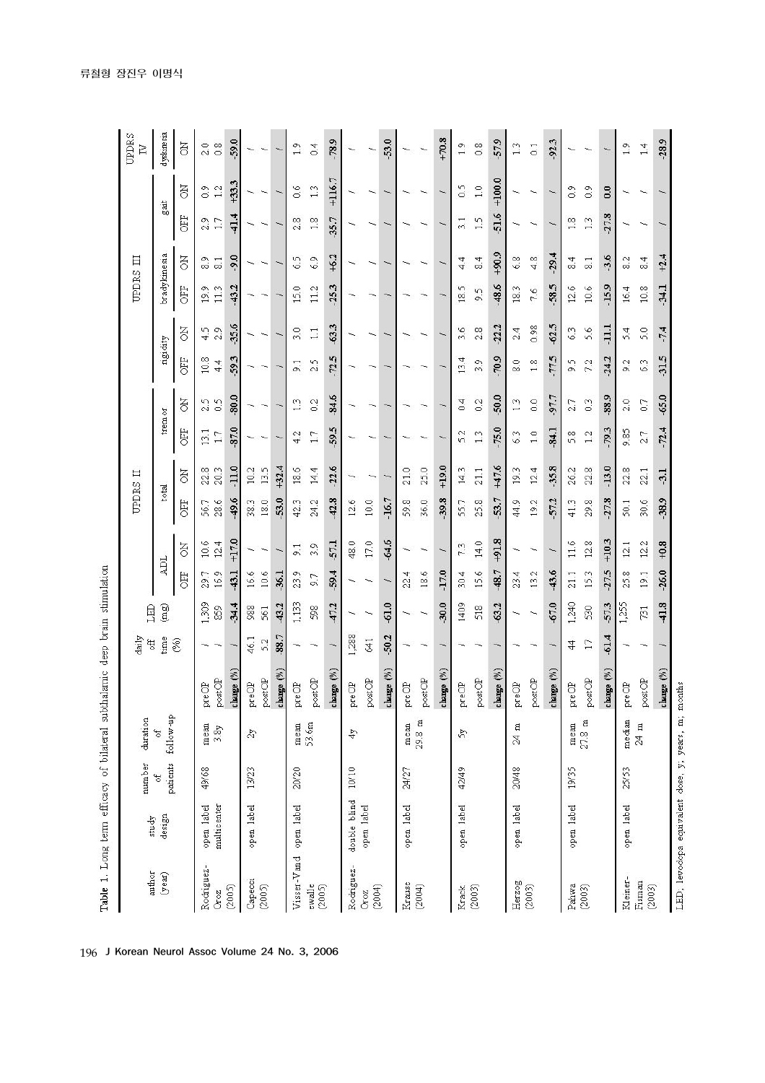|                                                    |              |                             |                   |                         | daily          |                |                 |                 | UPDRS II        |                       |              |                |                  |                    | UPDRS III                  |                          |                    |                | UPDRS                   |
|----------------------------------------------------|--------------|-----------------------------|-------------------|-------------------------|----------------|----------------|-----------------|-----------------|-----------------|-----------------------|--------------|----------------|------------------|--------------------|----------------------------|--------------------------|--------------------|----------------|-------------------------|
| author                                             | study        | number                      | duration          |                         | ही             | LED            |                 |                 |                 |                       |              |                |                  |                    |                            |                          |                    |                | $\overline{\mathbb{Z}}$ |
| (year)                                             | design       | patients<br>of <sub>0</sub> | follow-up<br>F    |                         | time           | (mg)           | ADL             |                 | total           |                       | trem or      |                | ngi dity         |                    | bradykinesia               |                          | gait               |                | dyskinesia              |
|                                                    |              |                             |                   |                         | (%)            |                | 固               | ā               | <b>EEO</b>      | ă                     | <b>EE</b>    | ð              | 臣                | ā                  | <b>CEE</b>                 | ā                        | <b>GFF</b>         | ð              | F                       |
| Rodriguez-                                         | open label   | 49/68                       | mean              | preOP                   |                | 1,309          | 29.7            | 10.6            | 56.7            | ∞<br>22.              | 13.1         | 2.5            | 10.8             | S<br>4.            | Ö<br>$\overline{2}$        | Ō<br>oo.                 | 2.9                | O,<br>Õ        | 2.0                     |
| (2005)<br>Oroz                                     | multicenter  |                             | 3.8y              | $\texttt{postOP}$       |                | $-34.4$<br>859 | 16.9<br>$-43.1$ | $+17.0$<br>12.4 | $-49.6$<br>28.6 | $-11.0$<br>20.3       | -87.0<br>17  | $-80.0$<br>0.5 | $-59.3$<br>44    | $-35.6$<br>2.9     | $-43.2$<br>113             | $-9.0$<br>$\overline{8}$ | $-41.4$<br>17      | $+33.3$<br>1.2 | $-59.0$<br>0.8          |
|                                                    |              |                             |                   | change (%)              |                |                |                 |                 |                 |                       |              |                |                  |                    |                            |                          |                    |                |                         |
| Capecci                                            | open label   | 13/23                       | $\mathbb{Z}^2$    | $\text{pre}\text{OP}$   | 46.1           | 988            | 16.6            |                 | 38.3            | 10.2                  |              |                |                  |                    |                            |                          |                    |                |                         |
| (2005)                                             |              |                             |                   | $_{\rm postOP}$         | 5.2            | 561            | 10.6            |                 | 18.0            | 13.5                  |              |                |                  |                    |                            |                          |                    |                |                         |
|                                                    |              |                             |                   | change (%)              | $-88.7$        | $-43.2$        | .36.1           |                 | 53.0            | $+32.4$               |              |                |                  |                    |                            |                          |                    |                |                         |
| Visser-Vand open label                             |              | 20/20                       | $_{\rm mean}$     | pre OP                  |                | 1,133          | 23.9            | $\overline{5}$  | 42.3            | 18.6                  | 4.2          | 13             | $\overline{5}$   | $\circ$<br>S,      | $\circ$<br>$\overline{15}$ | 6.5                      | $\infty$<br>$\sim$ | 0.6            | 1.9                     |
| ewalle<br>(2005)                                   |              |                             | 53.6m             | $\texttt{postOP}$       |                | 598            | 67              | Ō,<br>m         | 24.2            | 14.4                  | 17           | 0.2            | 5<br>$\sim$      | 11                 | 112                        | 6.9                      | 1.8                | 1.3            | 0.4                     |
|                                                    |              |                             |                   | change $(\%)$           | $\overline{}$  | $-47.2$        | $-59.4$         | $-57.1$         | $-42.8$         | $-22.6$               | $-59.5$      | $-84.6$        | $-72.5$          | $-63.3$            | $-25.3$                    | $+6.2$                   | $-35.7$            | $+116.7$       | $-78.9$                 |
| Rodriguez-                                         | double blind | $10/10$                     | 4y                | preOP                   | 1,288          |                |                 | 48.0            | 12.6            |                       |              |                |                  |                    |                            |                          |                    |                |                         |
| (2004)<br>Croz                                     | open label   |                             |                   | $\texttt{postOP}$       | 641            |                |                 | 17.0            | 10.0            |                       |              |                |                  |                    |                            |                          |                    |                | ∽                       |
|                                                    |              |                             |                   | change $(\%)$           | $-50.2$        | $-61.0$        |                 | $-64.6$         | $-16.7$         |                       |              |                |                  |                    |                            |                          |                    |                | $-53.0$                 |
| Krause                                             | open label   | 24/27                       | mean              | preOP                   |                |                | 4<br>22.        |                 | 59.8            | 21.0                  |              |                |                  |                    |                            |                          |                    |                |                         |
| (2004)                                             |              |                             | $29.8~\mathrm{m}$ | $\texttt{postOP}$       |                |                | 18.6            |                 | 36.0            | 25.0                  |              |                |                  |                    |                            |                          |                    |                |                         |
|                                                    |              |                             |                   | change (%)              |                | $-30.0$        | $-17.0$         |                 | $-39.8$         | $+19.0$               |              |                |                  |                    |                            |                          |                    |                | $+70.8$                 |
| Krack                                              | open label   | 42/49                       | 5 <sub>g</sub>    | preOP                   |                | 1409           | 30.4            | 7.3             | 55.7            | ω<br>$\overline{4}$ . | $\sim$<br>'n | 0.4            | 4<br>$\tilde{1}$ | v<br>m             | m<br>$\widetilde{\Xi}$     | 4<br>4                   | Ē<br>m             | 0.5            | $\frac{9}{1}$           |
| (2003)                                             |              |                             |                   | $\texttt{postOP}$       |                | 518            | 15.6            | 14.0            | 25.8            | 21.1                  | 1.3          | 0.2            | Ö<br>S.          | $\infty$<br>$\sim$ | 5<br>oi                    | 4<br>∞                   | 1.5                | 1.0            | 0.8                     |
|                                                    |              |                             |                   | change $(\%)$           |                | $-63.2$        | -48.7           | $+91.8$         | 53.7            | $+47.6$               | $-75.0$      | $-50.0$        | 70.9             | بہ<br>-22.         | $-48.6$                    | $+90.9$                  | $-51.6$            | $+100.0$       | 57.9                    |
| Herzog                                             | open label   | 20/48                       | $24~\mathrm{m}$   | $\text{pre}\text{OP}$   |                |                | 23.4            |                 | 44.9            | ω<br>$\overline{2}$   | 6.3          | 1.3            | $\frac{8}{8}$    | 2.4                | 18.3                       | 6.8                      |                    |                | 1.3                     |
| (2003)                                             |              |                             |                   | $\texttt{postOP}$       |                |                | 13.2            |                 | 19.2            | 12.4                  | 1.0          | 0.0            | 1.8              | 0.98               | 7.6                        | 4.8                      |                    |                | $\overline{0}$ .        |
|                                                    |              |                             |                   | change (%)              |                | $-67.0$        | $-43.6$         |                 | $-57.2$         | $-35.8$               | $-84.1$      | -97.7          | $-77.5$          | $-62.5$            | $-58.5$                    | $-29.4$                  |                    |                | $-92.3$                 |
| Pahwa                                              | open label   | 19/35                       | mean              | preOP                   | $\overline{4}$ | 1,240          | 21.1            | 11.6            | 41.3            | 26.2                  | 5.8          | ٣<br>$\sim$    | 5<br>ö           | $\omega$<br>Ğ.     | ۱Q<br>$\tilde{c}$          | 4<br>οó                  | $\infty$           | $\frac{8}{2}$  |                         |
| (2003)                                             |              |                             | $27.8\,$ m        | postOP                  | $\Box$         | 530            | 153             | 12.8            | 29.8            | 22.8                  | 12           | 0.3            | 7.2              | 5.6                | 10.6                       | $\overline{8}$           | 13                 | $\frac{8}{2}$  |                         |
|                                                    |              |                             |                   | change (%)              | $-61.4$        | $-57.3$        | $-27.5$         | $+10.3$         | $-27.8$         | $-13.0$               | $-79.3$      | $-88.9$        | $-24.2$          | $\overline{111}$   | $-15.9$                    | $-3.6$                   | $-27.8$            | 0.0            | $\overline{ }$          |
| Kleiner-                                           | open label   | 25/53                       | median            | preOP                   |                | 1,255          | 25.8            | 121             | 501             | 22.8                  | 9.85         | 2.0            | 9.2              | 5.4                | 16.4                       | $\frac{2}{8}$            |                    |                | $\frac{9}{1}$           |
| Fisman<br>(2003)                                   |              |                             | $24~\mathrm{m}$   | $\circ\mathfrak{so}(P)$ |                | 731            | 19.1            | 12.2            | 30.6            | 22.1                  | 2.7          | 0.7            | 63               | 5.0                | 10.8                       | $\frac{4}{3}$            |                    |                | 1.4                     |
|                                                    |              |                             |                   | change $(\%)$           | $\overline{ }$ | $-41.8$        | $-26.0$         | $+0.8$          | $-38.9$         | $-3.1$                | $-72.4$      | $-65.0$        | $-31.5$          | $-7.4$             | $-34.1$                    | $+2.4$                   |                    |                | $-28.9$                 |
| LED; levodopa equivalent dose, y, years, m, months |              |                             |                   |                         |                |                |                 |                 |                 |                       |              |                |                  |                    |                            |                          |                    |                |                         |

196 J Korean Neurol Assoc Volume 24 No. 3, 2006

Table 1. Long term efficacy of bilateral subthalarnic deep brain stimulation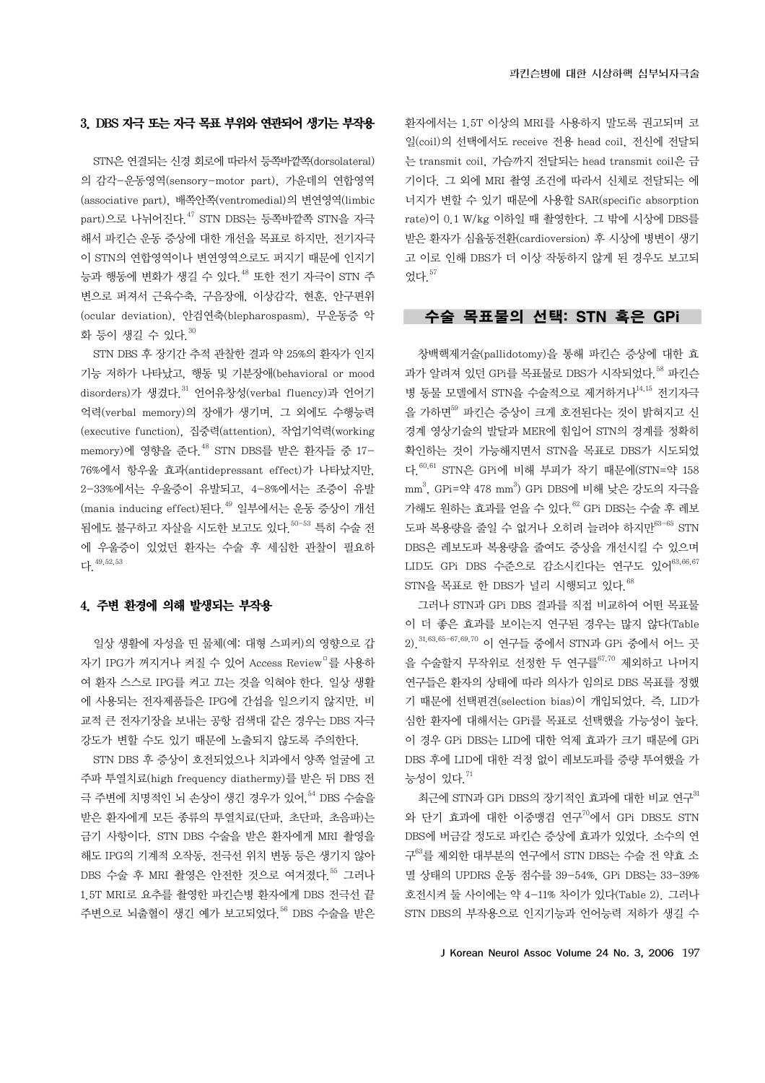환자에서는 1.5T 이상의 MRI를 사용하지 말도록 권고되며 코 일(coil)의 선택에서도 receive 전용 head coil, 전신에 전달되 는 transmit coil, 가슴까지 전달되는 head transmit coil은 금 기이다. 그 외에 MRI 촬영 조건에 따라서 신체로 전달되는 에 너지가 변할 수 있기 때문에 사용할 SAR(specific absorption rate)이 0.1 W/kg 이하일 때 촬영한다. 그 밖에 시상에 DBS를 받은 환자가 심율동전환(cardioversion) 후 시상에 병변이 생기 고 이로 인해 DBS가 더 이상 작동하지 않게 된 경우도 보고되 었다.57

# 수술 목표물의 선택: STN 혹은 GPi

창백핵제거술(pallidotomy)을 통해 파킨슨 증상에 대한 효 과가 알려져 있던 GPi를 목표물로 DBS가 시작되었다. 58 파킨슨 병 동물 모델에서 STN을 수술적으로 제거하거나<sup>14,15</sup> 전기자극 을 가하면<sup>59</sup> 파키슨 증상이 크게 호전된다는 것이 밝혀지고 신 경계 영상기술의 발달과 MER에 힘입어 STN의 경계를 정확히 확인하는 것이 가능해지면서 STN을 목표로 DBS가 시도되었 다.60,61 STN은 GPi에 비해 부피가 작기 때문에(STN=약 158  $\mathrm{mm}^3$ , GPi=약 478  $\mathrm{mm}^3$ ) GPi DBS에 비해 낮은 강도의 자극을 가해도 원하는 효과를 얻을 수 있다.62 GPi DBS는 수술 후 레보 도파 복용량을 줄일 수 없거나 오히려 늘려야 하지만63-65 STN DBS은 레보도파 복용량을 줄여도 증상을 개선시킬 수 있으며 LID도 GPi DBS 수준으로 감소시킨다는 연구도 있어<sup>63,66,67</sup>  $STN$ 을 목표로 한 DBS가 널리 시행되고 있다 $^{68}$ 

그러나 STN과 GPi DBS 결과를 직접 비교하여 어떤 목표물 이 더 좋은 효과를 보이는지 연구된 경우는 많지 않다(Table 2).31,63,65-67,69,70 이 연구들 중에서 STN과 GPi 중에서 어느 곳 을 수술할지 무작위로 선정한 두 연구를<sup>67,70</sup> 제외하고 나머지 연구들은 환자의 상태에 따라 의사가 임의로 DBS 목표를 정했 기 때문에 선택편견(selection bias)이 개입되었다. 즉, LID가 심한 환자에 대해서는 GPi를 목표로 선택했을 가능성이 높다. 이 경우 GPi DBS는 LID에 대한 억제 효과가 크기 때문에 GPi DBS 후에 LID에 대한 걱정 없이 레보도파를 증량 투여했을 가 능성이 있다. $71$ 

최근에 STN과 GPi DBS의 장기적인 효과에 대한 비교 연구31 와 단기 효과에 대한 이중맹검 연구70에서 GPi DBS도 STN DBS에 버금갈 정도로 파킨슨 증상에 효과가 있었다. 소수의 연 구63를 제외한 대부분의 연구에서 STN DBS는 수술 전 약효 소 멸 상태의 UPDRS 운동 점수를 39-54%, GPi DBS는 33-39% 호전시켜 둘 사이에는 약 4-11% 차이가 있다(Table 2). 그러나 STN DBS의 부작용으로 인지기능과 언어능력 저하가 생길 수

#### J Korean Neurol Assoc Volume 24 No. 3, 2006 197

#### 3. DBS 자극 또는 자극 목표 부위와 연관되어 생기는 부작용

STN은 연결되는 신경 회로에 따라서 등쪽바깥쪽(dorsolateral) 의 감각-운동영역(sensory-motor part), 가운데의 연합영역 (associative part), 배쪽안쪽(ventromedial)의 변연영역(limbic part)으로 나뉘어진다.<sup>47</sup> STN DBS는 등쪽바깥쪽 STN을 자극 해서 파킨슨 운동 증상에 대한 개선을 목표로 하지만, 전기자극 이 STN의 연합영역이나 변연영역으로도 퍼지기 때문에 인지기 능과 행동에 변화가 생길 수 있다. <sup>48</sup> 또한 전기 자극이 STN 주 변으로 퍼져서 근육수축, 구음장애, 이상감각, 현훈, 안구편위 (ocular deviation), 안검연축(blepharospasm), 무운동증 악 화 등이 생길 수 있다. 30

STN DBS 후 장기간 추적 관찰한 결과 약 25%의 환자가 인지 기능 저하가 나타났고, 행동 및 기분장애(behavioral or mood disorders)가 생겼다.<sup>31</sup> 언어유창성(verbal fluency)과 언어기 억력(verbal memory)의 장애가 생기며, 그 외에도 수행능력 (executive function), 집중력(attention), 작업기억력(working memory)에 영향을 주다 <sup>48</sup> STN DBS를 받은 환자들 중 17-76%에서 항우울 효과(antidepressant effect)가 나타났지만, 2-33%에서는 우울증이 유발되고, 4-8%에서는 조증이 유발 (mania inducing effect)된다.<sup>49</sup> 일부에서는 운동 증상이 개선 됨에도 불구하고 자살을 시도한 보고도 있다 <sup>50-53</sup> 특히 수술 전 에 우울증이 있었던 환자는 수술 후 세심한 관찰이 필요하 다.  $49,52,53$ 

# 4. 주변 환경에 의해 발생되는 부작용

일상 생활에 자성을 띤 물체(예: 대형 스피커)의 영향으로 갑 자기 IPG가 꺼지거나 켜질 수 있어 Access Review□를 사용하 여 환자 스스로 IPG를 켜고 끄는 것을 익혀야 한다. 일상 생활 에 사용되는 전자제품들은 IPG에 간섭을 일으키지 않지만, 비 교적 큰 전자기장을 보내는 공항 검색대 같은 경우는 DBS 자극 강도가 변할 수도 있기 때문에 노출되지 않도록 주의한다.

STN DBS 후 증상이 호전되었으나 치과에서 양쪽 얼굴에 고 주파 투열치료(high frequency diathermy)를 받은 뒤 DBS 전 극 주변에 치명적인 뇌 손상이 생긴 경우가 있어, 54 DBS 수술을 받은 환자에게 모든 종류의 투열치료(단파, 초단파, 초음파)는 금기 사항이다. STN DBS 수술을 받은 환자에게 MRI 촬영을 해도 IPG의 기계적 오작동, 전극선 위치 변동 등은 생기지 않아 DBS 수술 후 MRI 촬영은 안전한 것으로 여겨졌다<sup>55</sup> 그러나 1.5T MRI로 요추를 촬영한 파킨슨병 환자에게 DBS 전극선 끝 주변으로 뇌출혈이 생긴 예가 보고되었다 <sup>56</sup> DBS 수술을 받은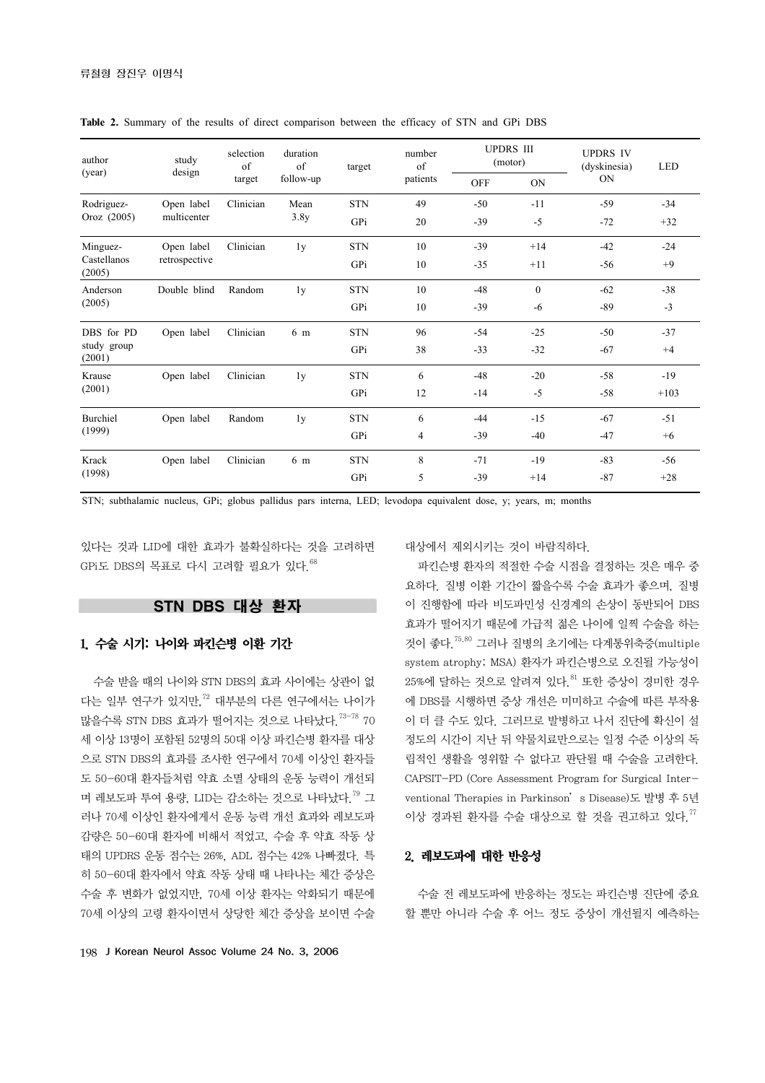| author                | study<br>design | selection<br>of<br>target | duration<br>of<br>follow-up | target     | number<br>of | <b>UPDRS III</b><br>(motor) |              | <b>UPDRS IV</b><br>(dyskinesia) | <b>LED</b> |
|-----------------------|-----------------|---------------------------|-----------------------------|------------|--------------|-----------------------------|--------------|---------------------------------|------------|
| (year)                |                 |                           |                             |            | patients     | <b>OFF</b>                  | ON           | <b>ON</b>                       |            |
| Rodriguez-            | Open label      | Clinician                 | Mean                        | <b>STN</b> | 49           | $-50$                       | $-11$        | $-59$                           | $-34$      |
| Oroz (2005)           | multicenter     |                           | 3.8y                        | GPi        | 20           | $-39$                       | $-5$         | $-72$                           | $+32$      |
| Minguez-              | Open label      | Clinician                 | 1y                          | <b>STN</b> | 10           | $-39$                       | $+14$        | $-42$                           | $-24$      |
| Castellanos<br>(2005) | retrospective   |                           |                             | GPi        | 10           | $-35$                       | $+11$        | $-56$                           | $+9$       |
| Anderson              | Double blind    | Random                    | 1 <sub>y</sub>              | <b>STN</b> | 10           | $-48$                       | $\mathbf{0}$ | $-62$                           | $-38$      |
| (2005)                |                 |                           |                             | GPi        | 10           | $-39$                       | $-6$         | $-89$                           | $-3$       |
| DBS for PD            | Open label      | Clinician                 | 6 m                         | <b>STN</b> | 96           | $-54$                       | $-25$        | $-50$                           | $-37$      |
| study group<br>(2001) |                 |                           |                             | GPi        | 38           | $-33$                       | $-32$        | $-67$                           | $+4$       |
| Krause<br>(2001)      | Open label      | Clinician                 | 1 <sub>y</sub>              | <b>STN</b> | 6            | $-48$                       | $-20$        | $-58$                           | $-19$      |
|                       |                 |                           |                             | GPi        | 12           | $-14$                       | $-5$         | $-58$                           | $+103$     |
| Burchiel<br>(1999)    | Open label      | Random                    | 1 <sub>y</sub>              | <b>STN</b> | 6            | $-44$                       | $-15$        | $-67$                           | $-51$      |
|                       |                 |                           |                             | GPi        | 4            | $-39$                       | $-40$        | $-47$                           | $+6$       |
| Krack                 | Open label      | Clinician                 | 6 m                         | <b>STN</b> | 8            | $-71$                       | $-19$        | $-83$                           | $-56$      |
| (1998)                |                 |                           |                             | GPi        | 5            | $-39$                       | $+14$        | $-87$                           | $+28$      |

**Table 2.** Summary of the results of direct comparison between the efficacy of STN and GPi DBS

STN; subthalamic nucleus, GPi; globus pallidus pars interna, LED; levodopa equivalent dose, y; years, m; months

있다는 것과 LID에 대한 효과가 불확실하다는 것을 고려하면  $GP$ i도 DBS의 목표로 다시 고려할 필요가 있다. $^{68}$ 

# STN DBS 대상 환자

# 1. 수술 시기: 나이와 파킨슨병 이환 기간

수술 받을 때의 나이와 STN DBS의 효과 사이에는 상관이 없 다는 일부 연구가 있지만,<sup>72</sup> 대부분의 다른 연구에서는 나이가 많을수록 STN DBS 효과가 떨어지는 것으로 나타났다.<sup>73-78</sup> 70 세 이상 13명이 포함된 52명의 50대 이상 파킨슨병 환자를 대상 으로 STN DBS의 효과를 조사한 연구에서 70세 이상인 환자들 도 50-60대 환자들처럼 약효 소멸 상태의 운동 능력이 개선되 며 레보도파 투여 용량, LID는 감소하는 것으로 나타났다.<sup>79</sup> 그 러나 70세 이상인 환자에게서 운동 능력 개선 효과와 레보도파 감량은 50-60대 환자에 비해서 적었고, 수술 후 약효 작동 상 태의 UPDRS 운동 점수는 26%, ADL 점수는 42% 나빠졌다. 특 히 50-60대 환자에서 약효 작동 상태 때 나타나는 체간 증상은 수술 후 변화가 없었지만, 70세 이상 환자는 악화되기 때문에 70세 이상의 고령 환자이면서 상당한 체간 증상을 보이면 수술

198 J Korean Neurol Assoc Volume 24 No. 3, 2006

대상에서 제외시키는 것이 바람직하다.

파킨슨병 환자의 적절한 수술 시점을 결정하는 것은 매우 중 요하다. 질병 이환 기간이 짧을수록 수술 효과가 좋으며, 질병 이 진행함에 따라 비도파민성 신경계의 손상이 동반되어 DBS 효과가 떨어지기 때문에 가급적 젊은 나이에 일찍 수술을 하는 것이 좋다.75,80 그러나 질병의 초기에는 다계통위축증(multiple system atrophy; MSA) 환자가 파킨슨병으로 오진될 가능성이  $25\%$ 에 달하는 것으로 알려져 있다.  $81$  또한 증상이 경미한 경우 에 DBS를 시행하면 증상 개선은 미미하고 수술에 따른 부작용 이 더 클 수도 있다. 그러므로 발병하고 나서 진단에 확신이 설 정도의 시간이 지난 뒤 약물치료만으로는 일정 수준 이상의 독 립적인 생활을 영위할 수 없다고 판단될 때 수술을 고려한다. CAPSIT-PD (Core Assessment Program for Surgical Interventional Therapies in Parkinson's Disease)도 발병 후 5년 이상 경과된 환자를 수술 대상으로 할 것을 권고하고 있다.<sup>77</sup>

# 2. 레보도파에 대한 반응성

수술 전 레보도파에 반응하는 정도는 파킨슨병 진단에 중요 할 뿐만 아니라 수술 후 어느 정도 증상이 개선될지 예측하는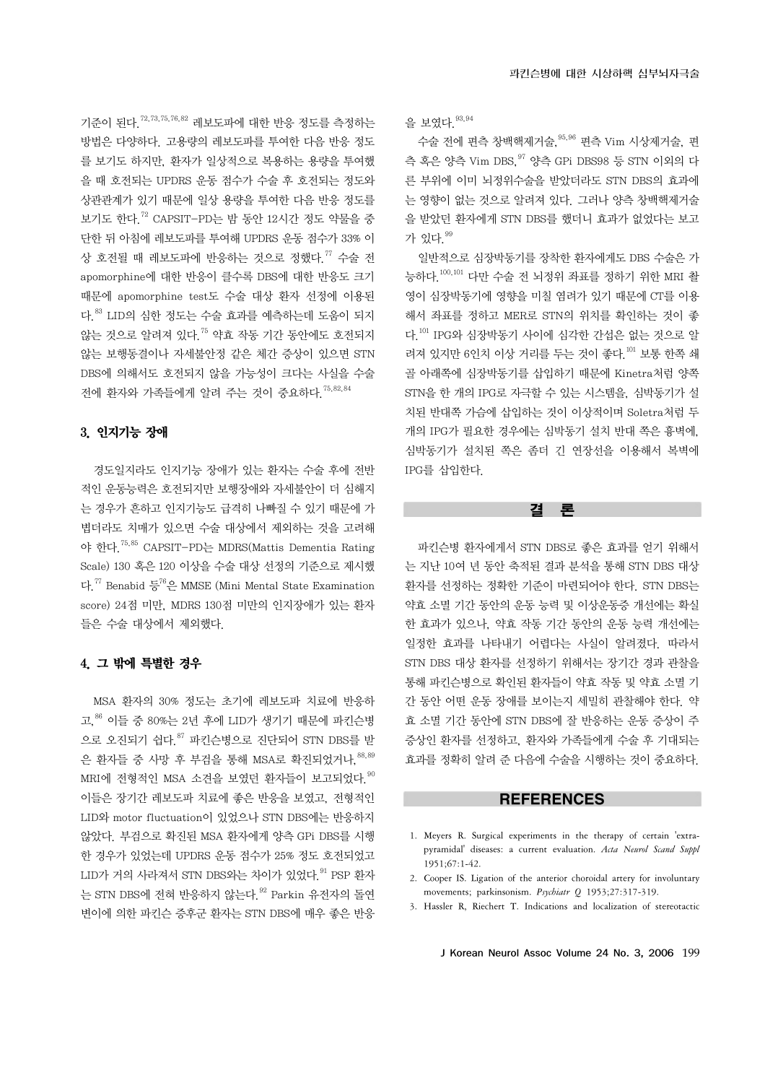기준이 된다.72,73,75,76,82 레보도파에 대한 반응 정도를 측정하는 방법은 다양하다. 고용량의 레보도파를 투여한 다음 반응 정도 를 보기도 하지만, 환자가 일상적으로 복용하는 용량을 투여했 을 때 호전되는 UPDRS 운동 점수가 수술 후 호전되는 정도와 상관관계가 있기 때문에 일상 용량을 투여한 다음 반응 정도를 보기도 한다.72 CAPSIT-PD는 밤 동안 12시간 정도 약물을 중 단한 뒤 아침에 레보도파를 투여해 UPDRS 운동 점수가 33% 이 상 호전될 때 레보도파에 반응하는 것으로 정했다.<sup>77</sup> 수술 전 apomorphine에 대한 반응이 클수록 DBS에 대한 반응도 크기 때문에 apomorphine test도 수술 대상 환자 선정에 이용된 다.83 LID의 심한 정도는 수술 효과를 예측하는데 도움이 되지 않는 것으로 알려져 있다.75 약효 작동 기간 동안에도 호전되지 않는 보행동결이나 자세불안정 같은 체간 증상이 있으면 STN DBS에 의해서도 호전되지 않을 가능성이 크다는 사실을 수술 전에 환자와 가족들에게 알려 주는 것이 중요하다.75,82,84

# 3. 인지기능 장애

경도일지라도 인지기능 장애가 있는 환자는 수술 후에 전반 적인 운동능력은 호전되지만 보행장애와 자세불안이 더 심해지 는 경우가 흔하고 인지기능도 급격히 나빠질 수 있기 때문에 가 볍더라도 치매가 있으면 수술 대상에서 제외하는 것을 고려해 야 한다.75,85 CAPSIT-PD는 MDRS(Mattis Dementia Rating Scale) 130 혹은 120 이상을 수술 대상 선정의 기준으로 제시했 다<sup>77</sup> Benabid 등<sup>76</sup>은 MMSE (Mini Mental State Examination score) 24점 미만, MDRS 130점 미만의 인지장애가 있는 환자 들은 수술 대상에서 제외했다.

# 4. 그 밖에 특별한 경우

MSA 환자의 30% 정도는 초기에 레보도파 치료에 반응하 고,  $86$  이들 중 80%는 2년 후에 LID가 생기기 때문에 파킨슨병 으로 오진되기 쉽다.87 파킨슨병으로 진단되어 STN DBS를 받 은 환자들 중 사망 후 부검을 통해 MSA로 확진되었거나.  $88,89$ MRI에 전형적인 MSA 소견을 보였던 환자들이 보고되었다.  $90$ 이들은 장기간 레보도파 치료에 좋은 반응을 보였고, 전형적인 LID와 motor fluctuation이 있었으나 STN DBS에는 반응하지 않았다. 부검으로 확진된 MSA 환자에게 양측 GPi DBS를 시행 한 경우가 있었는데 UPDRS 운동 점수가 25% 정도 호전되었고  $LID$ 가 거의 사라져서 STN DBS와는 차이가 있었다.  $91$  PSP 화자 는 STN DBS에 전혀 반응하지 않는다. 92 Parkin 유전자의 돌연 변이에 의한 파킨슨 증후군 환자는 STN DBS에 매우 좋은 반응

을 보였다. 93,94

수술 전에 편측 창백핵제거술, <sup>95,96</sup> 편측 Vim 시상제거술, 편 측 혹은 양측 Vim DBS,97 양측 GPi DBS98 등 STN 이외의 다 른 부위에 이미 뇌정위수술을 받았더라도 STN DBS의 효과에 는 영향이 없는 것으로 알려져 있다. 그러나 양측 창백핵제거술 을 받았던 환자에게 STN DBS를 했더니 효과가 없었다는 보고 가 있다. 99

일반적으로 심장박동기를 장착한 환자에게도 DBS 수술은 가 능하다.100,101 다만 수술 전 뇌정위 좌표를 정하기 위한 MRI 촬 영이 심장박동기에 영향을 미칠 염려가 있기 때문에 CT를 이용 해서 좌표를 정하고 MER로 STN의 위치를 확인하는 것이 좋 다.101 IPG와 심장박동기 사이에 심각한 간섭은 없는 것으로 알 려져 있지만 6인치 이상 거리를 두는 것이 좋다.101 보통 한쪽 쇄 골 아래쪽에 심장박동기를 삽입하기 때문에 Kinetra처럼 양쪽 STN을 한 개의 IPG로 자극할 수 있는 시스템을, 심박동기가 설 치된 반대쪽 가슴에 삽입하는 것이 이상적이며 Soletra처럼 두 개의 IPG가 필요한 경우에는 심박동기 설치 반대 쪽은 흉벽에, 심박동기가 설치된 쪽은 좀더 긴 연장선을 이용해서 복벽에 IPG를 삽입한다.

결 론

파킨슨병 환자에게서 STN DBS로 좋은 효과를 얻기 위해서 는 지난 10여 년 동안 축적된 결과 분석을 통해 STN DBS 대상 환자를 선정하는 정확한 기준이 마련되어야 한다. STN DBS는 약효 소멸 기간 동안의 운동 능력 및 이상운동증 개선에는 확실 한 효과가 있으나, 약효 작동 기간 동안의 운동 능력 개선에는 일정한 효과를 나타내기 어렵다는 사실이 알려졌다. 따라서 STN DBS 대상 환자를 선정하기 위해서는 장기간 경과 관찰을 통해 파킨슨병으로 확인된 환자들이 약효 작동 및 약효 소멸 기 간 동안 어떤 운동 장애를 보이는지 세밀히 관찰해야 한다. 약 효 소멸 기간 동안에 STN DBS에 잘 반응하는 운동 증상이 주 증상인 환자를 선정하고, 환자와 가족들에게 수술 후 기대되는 효과를 정확히 알려 준 다음에 수술을 시행하는 것이 중요하다.

# **REFERENCES**

- 1. Meyers R. Surgical experiments in the therapy of certain 'extrapyramidal' diseases: a current evaluation. *Acta Neurol Scand Suppl* 1951;67:1-42.
- 2. Cooper IS. Ligation of the anterior choroidal artery for involuntary movements; parkinsonism. *Psychiatr Q* 1953;27:317-319.
- 3. Hassler R, Riechert T. Indications and localization of stereotactic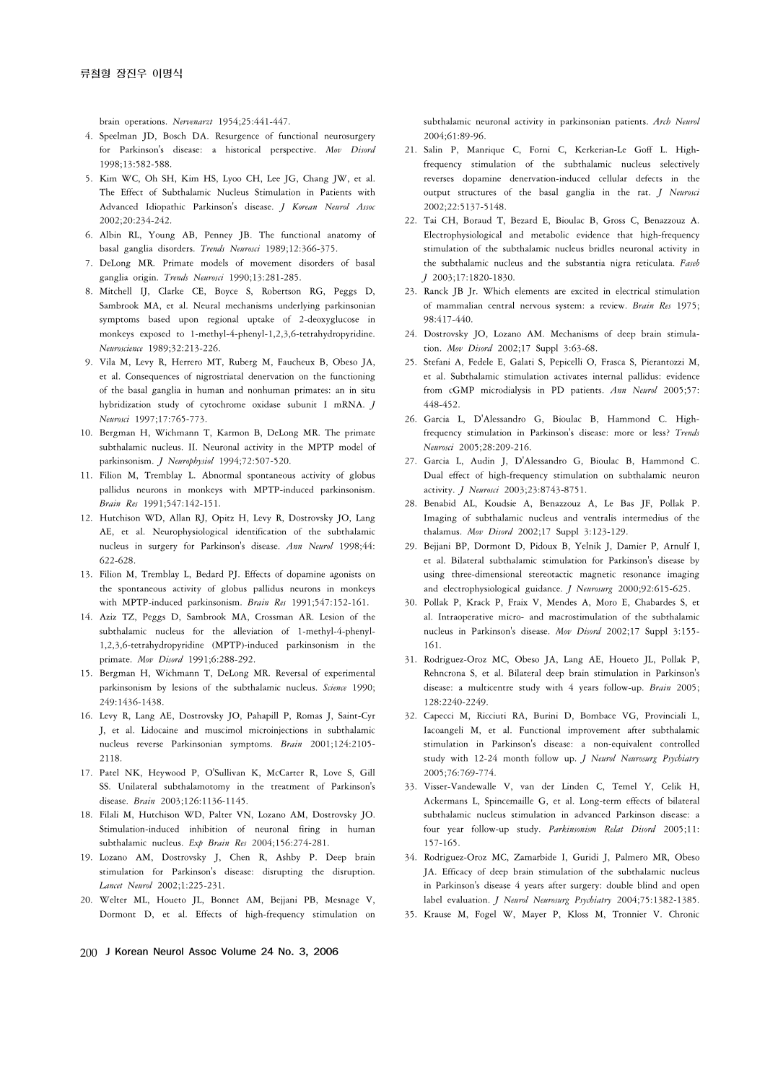brain operations. *Nervenarzt* 1954;25:441-447.

- 4. Speelman JD, Bosch DA. Resurgence of functional neurosurgery for Parkinson's disease: a historical perspective. *Mov Disord* 1998;13:582-588.
- 5. Kim WC, Oh SH, Kim HS, Lyoo CH, Lee JG, Chang JW, et al. The Effect of Subthalamic Nucleus Stimulation in Patients with Advanced Idiopathic Parkinson's disease. *J Korean Neurol Assoc* 2002;20:234-242.
- 6. Albin RL, Young AB, Penney JB. The functional anatomy of basal ganglia disorders. *Trends Neurosci* 1989;12:366-375.
- 7. DeLong MR. Primate models of movement disorders of basal ganglia origin. *Trends Neurosci* 1990;13:281-285.
- 8. Mitchell IJ, Clarke CE, Boyce S, Robertson RG, Peggs D, Sambrook MA, et al. Neural mechanisms underlying parkinsonian symptoms based upon regional uptake of 2-deoxyglucose in monkeys exposed to 1-methyl-4-phenyl-1,2,3,6-tetrahydropyridine. *Neuroscience* 1989;32:213-226.
- 9. Vila M, Levy R, Herrero MT, Ruberg M, Faucheux B, Obeso JA, et al. Consequences of nigrostriatal denervation on the functioning of the basal ganglia in human and nonhuman primates: an in situ hybridization study of cytochrome oxidase subunit I mRNA. *J Neurosci* 1997;17:765-773.
- 10. Bergman H, Wichmann T, Karmon B, DeLong MR. The primate subthalamic nucleus. II. Neuronal activity in the MPTP model of parkinsonism. *J Neurophysiol* 1994;72:507-520.
- 11. Filion M, Tremblay L. Abnormal spontaneous activity of globus pallidus neurons in monkeys with MPTP-induced parkinsonism. *Brain Res* 1991;547:142-151.
- 12. Hutchison WD, Allan RJ, Opitz H, Levy R, Dostrovsky JO, Lang AE, et al. Neurophysiological identification of the subthalamic nucleus in surgery for Parkinson's disease. *Ann Neurol* 1998;44: 622-628.
- 13. Filion M, Tremblay L, Bedard PJ. Effects of dopamine agonists on the spontaneous activity of globus pallidus neurons in monkeys with MPTP-induced parkinsonism. *Brain Res* 1991;547:152-161.
- 14. Aziz TZ, Peggs D, Sambrook MA, Crossman AR. Lesion of the subthalamic nucleus for the alleviation of 1-methyl-4-phenyl-1,2,3,6-tetrahydropyridine (MPTP)-induced parkinsonism in the primate. *Mov Disord* 1991;6:288-292.
- 15. Bergman H, Wichmann T, DeLong MR. Reversal of experimental parkinsonism by lesions of the subthalamic nucleus. *Science* 1990; 249:1436-1438.
- 16. Levy R, Lang AE, Dostrovsky JO, Pahapill P, Romas J, Saint-Cyr J, et al. Lidocaine and muscimol microinjections in subthalamic nucleus reverse Parkinsonian symptoms. *Brain* 2001;124:2105- 2118.
- 17. Patel NK, Heywood P, O'Sullivan K, McCarter R, Love S, Gill SS. Unilateral subthalamotomy in the treatment of Parkinson's disease. *Brain* 2003;126:1136-1145.
- 18. Filali M, Hutchison WD, Palter VN, Lozano AM, Dostrovsky JO. Stimulation-induced inhibition of neuronal firing in human subthalamic nucleus. *Exp Brain Res* 2004;156:274-281.
- 19. Lozano AM, Dostrovsky J, Chen R, Ashby P. Deep brain stimulation for Parkinson's disease: disrupting the disruption. *Lancet Neurol* 2002;1:225-231.
- 20. Welter ML, Houeto JL, Bonnet AM, Bejjani PB, Mesnage V, Dormont D, et al. Effects of high-frequency stimulation on

subthalamic neuronal activity in parkinsonian patients. *Arch Neurol* 2004;61:89-96.

- 21. Salin P, Manrique C, Forni C, Kerkerian-Le Goff L. Highfrequency stimulation of the subthalamic nucleus selectively reverses dopamine denervation-induced cellular defects in the output structures of the basal ganglia in the rat. *J Neurosci* 2002;22:5137-5148.
- 22. Tai CH, Boraud T, Bezard E, Bioulac B, Gross C, Benazzouz A. Electrophysiological and metabolic evidence that high-frequency stimulation of the subthalamic nucleus bridles neuronal activity in the subthalamic nucleus and the substantia nigra reticulata. *Faseb J* 2003;17:1820-1830.
- 23. Ranck JB Jr. Which elements are excited in electrical stimulation of mammalian central nervous system: a review. *Brain Res* 1975; 98:417-440.
- 24. Dostrovsky JO, Lozano AM. Mechanisms of deep brain stimulation. *Mov Disord* 2002;17 Suppl 3:63-68.
- 25. Stefani A, Fedele E, Galati S, Pepicelli O, Frasca S, Pierantozzi M, et al. Subthalamic stimulation activates internal pallidus: evidence from cGMP microdialysis in PD patients. *Ann Neurol* 2005;57: 448-452.
- 26. Garcia L, D'Alessandro G, Bioulac B, Hammond C. Highfrequency stimulation in Parkinson's disease: more or less? *Trends Neurosci* 2005;28:209-216.
- 27. Garcia L, Audin J, D'Alessandro G, Bioulac B, Hammond C. Dual effect of high-frequency stimulation on subthalamic neuron activity. *J Neurosci* 2003;23:8743-8751.
- 28. Benabid AL, Koudsie A, Benazzouz A, Le Bas JF, Pollak P. Imaging of subthalamic nucleus and ventralis intermedius of the thalamus. *Mov Disord* 2002;17 Suppl 3:123-129.
- 29. Bejjani BP, Dormont D, Pidoux B, Yelnik J, Damier P, Arnulf I, et al. Bilateral subthalamic stimulation for Parkinson's disease by using three-dimensional stereotactic magnetic resonance imaging and electrophysiological guidance. *J Neurosurg* 2000;92:615-625.
- 30. Pollak P, Krack P, Fraix V, Mendes A, Moro E, Chabardes S, et al. Intraoperative micro- and macrostimulation of the subthalamic nucleus in Parkinson's disease. *Mov Disord* 2002;17 Suppl 3:155- 161.
- 31. Rodriguez-Oroz MC, Obeso JA, Lang AE, Houeto JL, Pollak P, Rehncrona S, et al. Bilateral deep brain stimulation in Parkinson's disease: a multicentre study with 4 years follow-up. *Brain* 2005; 128:2240-2249.
- 32. Capecci M, Ricciuti RA, Burini D, Bombace VG, Provinciali L, Iacoangeli M, et al. Functional improvement after subthalamic stimulation in Parkinson's disease: a non-equivalent controlled study with 12-24 month follow up. *J Neurol Neurosurg Psychiatry* 2005;76:769-774.
- 33. Visser-Vandewalle V, van der Linden C, Temel Y, Celik H, Ackermans L, Spincemaille G, et al. Long-term effects of bilateral subthalamic nucleus stimulation in advanced Parkinson disease: a four year follow-up study. *Parkinsonism Relat Disord* 2005;11: 157-165.
- 34. Rodriguez-Oroz MC, Zamarbide I, Guridi J, Palmero MR, Obeso JA. Efficacy of deep brain stimulation of the subthalamic nucleus in Parkinson's disease 4 years after surgery: double blind and open label evaluation. *J Neurol Neurosurg Psychiatry* 2004;75:1382-1385.
- 35. Krause M, Fogel W, Mayer P, Kloss M, Tronnier V. Chronic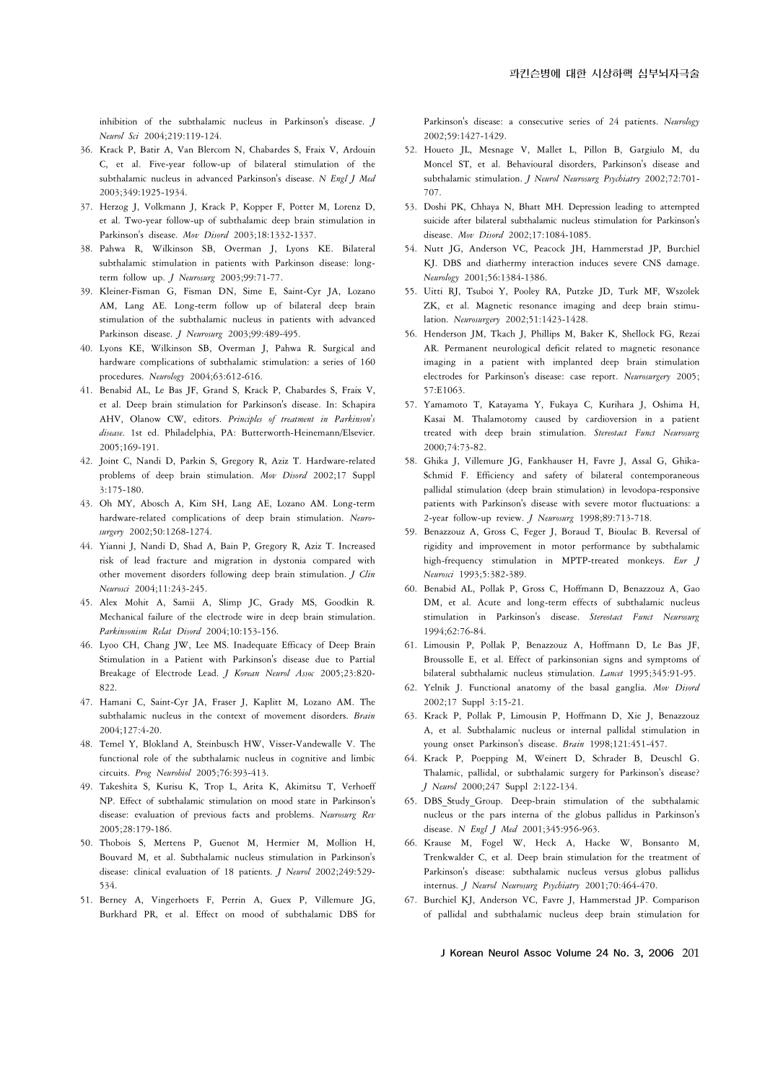inhibition of the subthalamic nucleus in Parkinson's disease. *J Neurol Sci* 2004;219:119-124.

- 36. Krack P, Batir A, Van Blercom N, Chabardes S, Fraix V, Ardouin C, et al. Five-year follow-up of bilateral stimulation of the subthalamic nucleus in advanced Parkinson's disease. *N Engl J Med* 2003;349:1925-1934.
- 37. Herzog J, Volkmann J, Krack P, Kopper F, Potter M, Lorenz D, et al. Two-year follow-up of subthalamic deep brain stimulation in Parkinson's disease. *Mov Disord* 2003;18:1332-1337.
- 38. Pahwa R, Wilkinson SB, Overman J, Lyons KE. Bilateral subthalamic stimulation in patients with Parkinson disease: longterm follow up. *J Neurosurg* 2003;99:71-77.
- 39. Kleiner-Fisman G, Fisman DN, Sime E, Saint-Cyr JA, Lozano AM, Lang AE. Long-term follow up of bilateral deep brain stimulation of the subthalamic nucleus in patients with advanced Parkinson disease. *J Neurosurg* 2003;99:489-495.
- 40. Lyons KE, Wilkinson SB, Overman J, Pahwa R. Surgical and hardware complications of subthalamic stimulation: a series of 160 procedures. *Neurology* 2004;63:612-616.
- 41. Benabid AL, Le Bas JF, Grand S, Krack P, Chabardes S, Fraix V, et al. Deep brain stimulation for Parkinson's disease. In: Schapira AHV, Olanow CW, editors. *Principles of treatment in Parkinson's disease.* 1st ed. Philadelphia, PA: Butterworth-Heinemann/Elsevier. 2005;169-191.
- 42. Joint C, Nandi D, Parkin S, Gregory R, Aziz T. Hardware-related problems of deep brain stimulation. *Mov Disord* 2002;17 Suppl 3:175-180.
- 43. Oh MY, Abosch A, Kim SH, Lang AE, Lozano AM. Long-term hardware-related complications of deep brain stimulation. *Neurosurgery* 2002;50:1268-1274.
- 44. Yianni J, Nandi D, Shad A, Bain P, Gregory R, Aziz T. Increased risk of lead fracture and migration in dystonia compared with other movement disorders following deep brain stimulation. *J Clin Neurosci* 2004;11:243-245.
- 45. Alex Mohit A, Samii A, Slimp JC, Grady MS, Goodkin R. Mechanical failure of the electrode wire in deep brain stimulation. *Parkinsonism Relat Disord* 2004;10:153-156.
- 46. Lyoo CH, Chang JW, Lee MS. Inadequate Efficacy of Deep Brain Stimulation in a Patient with Parkinson's disease due to Partial Breakage of Electrode Lead. *J Korean Neurol Assoc* 2005;23:820- 822.
- 47. Hamani C, Saint-Cyr JA, Fraser J, Kaplitt M, Lozano AM. The subthalamic nucleus in the context of movement disorders. *Brain* 2004;127:4-20.
- 48. Temel Y, Blokland A, Steinbusch HW, Visser-Vandewalle V. The functional role of the subthalamic nucleus in cognitive and limbic circuits. *Prog Neurobiol* 2005;76:393-413.
- 49. Takeshita S, Kurisu K, Trop L, Arita K, Akimitsu T, Verhoeff NP. Effect of subthalamic stimulation on mood state in Parkinson's disease: evaluation of previous facts and problems. *Neurosurg Rev* 2005;28:179-186.
- 50. Thobois S, Mertens P, Guenot M, Hermier M, Mollion H, Bouvard M, et al. Subthalamic nucleus stimulation in Parkinson's disease: clinical evaluation of 18 patients. *J Neurol* 2002;249:529- 534.
- 51. Berney A, Vingerhoets F, Perrin A, Guex P, Villemure JG, Burkhard PR, et al. Effect on mood of subthalamic DBS for

Parkinson's disease: a consecutive series of 24 patients. *Neurology* 2002;59:1427-1429.

- 52. Houeto JL, Mesnage V, Mallet L, Pillon B, Gargiulo M, du Moncel ST, et al. Behavioural disorders, Parkinson's disease and subthalamic stimulation. *J Neurol Neurosurg Psychiatry* 2002;72:701- 707.
- 53. Doshi PK, Chhaya N, Bhatt MH. Depression leading to attempted suicide after bilateral subthalamic nucleus stimulation for Parkinson's disease. *Mov Disord* 2002;17:1084-1085.
- 54. Nutt JG, Anderson VC, Peacock JH, Hammerstad JP, Burchiel KJ. DBS and diathermy interaction induces severe CNS damage. *Neurology* 2001;56:1384-1386.
- 55. Uitti RJ, Tsuboi Y, Pooley RA, Putzke JD, Turk MF, Wszolek ZK, et al. Magnetic resonance imaging and deep brain stimulation. *Neurosurgery* 2002;51:1423-1428.
- 56. Henderson JM, Tkach J, Phillips M, Baker K, Shellock FG, Rezai AR. Permanent neurological deficit related to magnetic resonance imaging in a patient with implanted deep brain stimulation electrodes for Parkinson's disease: case report. *Neurosurgery* 2005; 57:E1063.
- 57. Yamamoto T, Katayama Y, Fukaya C, Kurihara J, Oshima H, Kasai M. Thalamotomy caused by cardioversion in a patient treated with deep brain stimulation. *Stereotact Funct Neurosurg* 2000;74:73-82.
- 58. Ghika J, Villemure JG, Fankhauser H, Favre J, Assal G, Ghika-Schmid F. Efficiency and safety of bilateral contemporaneous pallidal stimulation (deep brain stimulation) in levodopa-responsive patients with Parkinson's disease with severe motor fluctuations: a 2-year follow-up review. *J Neurosurg* 1998;89:713-718.
- 59. Benazzouz A, Gross C, Feger J, Boraud T, Bioulac B. Reversal of rigidity and improvement in motor performance by subthalamic high-frequency stimulation in MPTP-treated monkeys. *Eur J Neurosci* 1993;5:382-389.
- 60. Benabid AL, Pollak P, Gross C, Hoffmann D, Benazzouz A, Gao DM, et al. Acute and long-term effects of subthalamic nucleus stimulation in Parkinson's disease. *Stereotact Funct Neurosurg* 1994;62:76-84.
- 61. Limousin P, Pollak P, Benazzouz A, Hoffmann D, Le Bas JF, Broussolle E, et al. Effect of parkinsonian signs and symptoms of bilateral subthalamic nucleus stimulation. *Lancet* 1995;345:91-95.
- 62. Yelnik J. Functional anatomy of the basal ganglia. *Mov Disord* 2002;17 Suppl 3:15-21.
- 63. Krack P, Pollak P, Limousin P, Hoffmann D, Xie J, Benazzouz A, et al. Subthalamic nucleus or internal pallidal stimulation in young onset Parkinson's disease. *Brain* 1998;121:451-457.
- 64. Krack P, Poepping M, Weinert D, Schrader B, Deuschl G. Thalamic, pallidal, or subthalamic surgery for Parkinson's disease? *J Neurol* 2000;247 Suppl 2:122-134.
- 65. DBS\_Study\_Group. Deep-brain stimulation of the subthalamic nucleus or the pars interna of the globus pallidus in Parkinson's disease. *N Engl J Med* 2001;345:956-963.
- 66. Krause M, Fogel W, Heck A, Hacke W, Bonsanto M, Trenkwalder C, et al. Deep brain stimulation for the treatment of Parkinson's disease: subthalamic nucleus versus globus pallidus internus. *J Neurol Neurosurg Psychiatry* 2001;70:464-470.
- 67. Burchiel KJ, Anderson VC, Favre J, Hammerstad JP. Comparison of pallidal and subthalamic nucleus deep brain stimulation for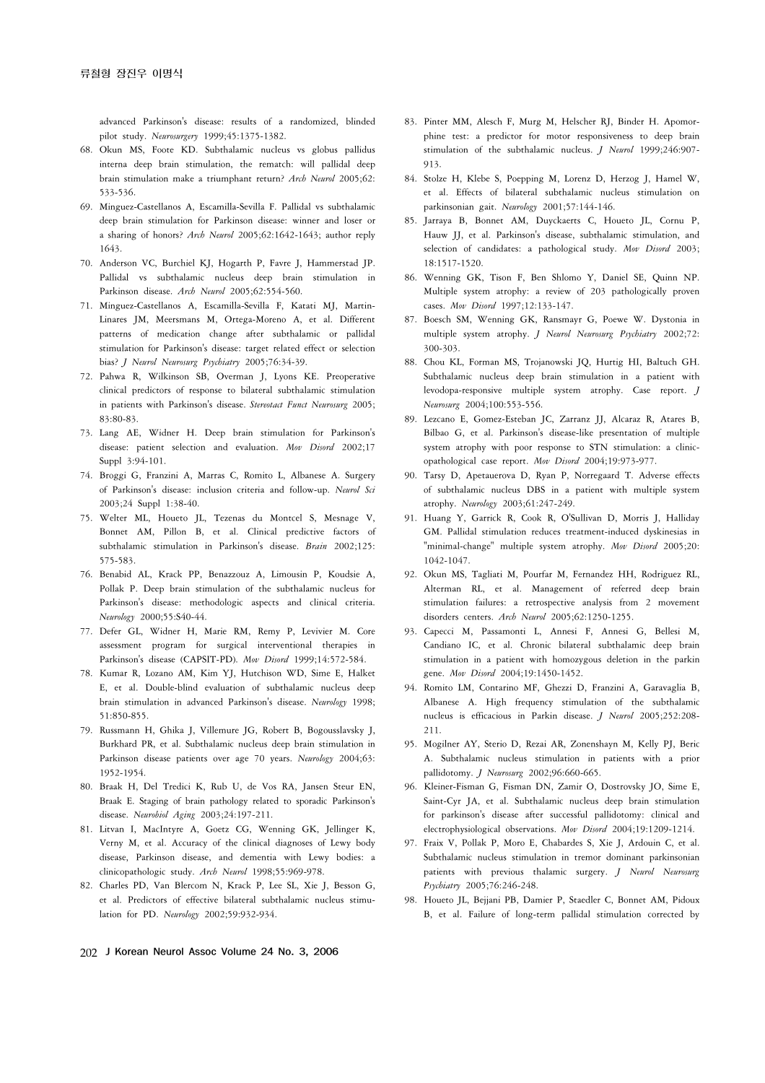advanced Parkinson's disease: results of a randomized, blinded pilot study. *Neurosurgery* 1999;45:1375-1382.

- 68. Okun MS, Foote KD. Subthalamic nucleus vs globus pallidus interna deep brain stimulation, the rematch: will pallidal deep brain stimulation make a triumphant return? *Arch Neurol* 2005;62: 533-536.
- 69. Minguez-Castellanos A, Escamilla-Sevilla F. Pallidal vs subthalamic deep brain stimulation for Parkinson disease: winner and loser or a sharing of honors? *Arch Neurol* 2005;62:1642-1643; author reply 1643.
- 70. Anderson VC, Burchiel KJ, Hogarth P, Favre J, Hammerstad JP. Pallidal vs subthalamic nucleus deep brain stimulation in Parkinson disease. *Arch Neurol* 2005;62:554-560.
- 71. Minguez-Castellanos A, Escamilla-Sevilla F, Katati MJ, Martin-Linares JM, Meersmans M, Ortega-Moreno A, et al. Different patterns of medication change after subthalamic or pallidal stimulation for Parkinson's disease: target related effect or selection bias? *J Neurol Neurosurg Psychiatry* 2005;76:34-39.
- 72. Pahwa R, Wilkinson SB, Overman J, Lyons KE. Preoperative clinical predictors of response to bilateral subthalamic stimulation in patients with Parkinson's disease. *Stereotact Funct Neurosurg* 2005; 83:80-83.
- 73. Lang AE, Widner H. Deep brain stimulation for Parkinson's disease: patient selection and evaluation. *Mov Disord* 2002;17 Suppl 3:94-101.
- 74. Broggi G, Franzini A, Marras C, Romito L, Albanese A. Surgery of Parkinson's disease: inclusion criteria and follow-up. *Neurol Sci* 2003;24 Suppl 1:38-40.
- 75. Welter ML, Houeto JL, Tezenas du Montcel S, Mesnage V, Bonnet AM, Pillon B, et al. Clinical predictive factors of subthalamic stimulation in Parkinson's disease. *Brain* 2002;125: 575-583.
- 76. Benabid AL, Krack PP, Benazzouz A, Limousin P, Koudsie A, Pollak P. Deep brain stimulation of the subthalamic nucleus for Parkinson's disease: methodologic aspects and clinical criteria. *Neurology* 2000;55:S40-44.
- 77. Defer GL, Widner H, Marie RM, Remy P, Levivier M. Core assessment program for surgical interventional therapies in Parkinson's disease (CAPSIT-PD). *Mov Disord* 1999;14:572-584.
- 78. Kumar R, Lozano AM, Kim YJ, Hutchison WD, Sime E, Halket E, et al. Double-blind evaluation of subthalamic nucleus deep brain stimulation in advanced Parkinson's disease. *Neurology* 1998; 51:850-855.
- 79. Russmann H, Ghika J, Villemure JG, Robert B, Bogousslavsky J, Burkhard PR, et al. Subthalamic nucleus deep brain stimulation in Parkinson disease patients over age 70 years. *Neurology* 2004;63: 1952-1954.
- 80. Braak H, Del Tredici K, Rub U, de Vos RA, Jansen Steur EN, Braak E. Staging of brain pathology related to sporadic Parkinson's disease. *Neurobiol Aging* 2003;24:197-211.
- 81. Litvan I, MacIntyre A, Goetz CG, Wenning GK, Jellinger K, Verny M, et al. Accuracy of the clinical diagnoses of Lewy body disease, Parkinson disease, and dementia with Lewy bodies: a clinicopathologic study. *Arch Neurol* 1998;55:969-978.
- 82. Charles PD, Van Blercom N, Krack P, Lee SL, Xie J, Besson G, et al. Predictors of effective bilateral subthalamic nucleus stimulation for PD. *Neurology* 2002;59:932-934.
- 83. Pinter MM, Alesch F, Murg M, Helscher RJ, Binder H. Apomorphine test: a predictor for motor responsiveness to deep brain stimulation of the subthalamic nucleus. *J Neurol* 1999;246:907- 913.
- 84. Stolze H, Klebe S, Poepping M, Lorenz D, Herzog J, Hamel W, et al. Effects of bilateral subthalamic nucleus stimulation on parkinsonian gait. *Neurology* 2001;57:144-146.
- 85. Jarraya B, Bonnet AM, Duyckaerts C, Houeto JL, Cornu P, Hauw JJ, et al. Parkinson's disease, subthalamic stimulation, and selection of candidates: a pathological study. *Mov Disord* 2003; 18:1517-1520.
- 86. Wenning GK, Tison F, Ben Shlomo Y, Daniel SE, Quinn NP. Multiple system atrophy: a review of 203 pathologically proven cases. *Mov Disord* 1997;12:133-147.
- 87. Boesch SM, Wenning GK, Ransmayr G, Poewe W. Dystonia in multiple system atrophy. *J Neurol Neurosurg Psychiatry* 2002;72: 300-303.
- 88. Chou KL, Forman MS, Trojanowski JQ, Hurtig HI, Baltuch GH. Subthalamic nucleus deep brain stimulation in a patient with levodopa-responsive multiple system atrophy. Case report. *J Neurosurg* 2004;100:553-556.
- 89. Lezcano E, Gomez-Esteban JC, Zarranz JJ, Alcaraz R, Atares B, Bilbao G, et al. Parkinson's disease-like presentation of multiple system atrophy with poor response to STN stimulation: a clinicopathological case report. *Mov Disord* 2004;19:973-977.
- 90. Tarsy D, Apetauerova D, Ryan P, Norregaard T. Adverse effects of subthalamic nucleus DBS in a patient with multiple system atrophy. *Neurology* 2003;61:247-249.
- 91. Huang Y, Garrick R, Cook R, O'Sullivan D, Morris J, Halliday GM. Pallidal stimulation reduces treatment-induced dyskinesias in "minimal-change" multiple system atrophy. *Mov Disord* 2005;20: 1042-1047.
- 92. Okun MS, Tagliati M, Pourfar M, Fernandez HH, Rodriguez RL, Alterman RL, et al. Management of referred deep brain stimulation failures: a retrospective analysis from 2 movement disorders centers. *Arch Neurol* 2005;62:1250-1255.
- 93. Capecci M, Passamonti L, Annesi F, Annesi G, Bellesi M, Candiano IC, et al. Chronic bilateral subthalamic deep brain stimulation in a patient with homozygous deletion in the parkin gene. *Mov Disord* 2004;19:1450-1452.
- 94. Romito LM, Contarino MF, Ghezzi D, Franzini A, Garavaglia B, Albanese A. High frequency stimulation of the subthalamic nucleus is efficacious in Parkin disease. *J Neurol* 2005;252:208- 211.
- 95. Mogilner AY, Sterio D, Rezai AR, Zonenshayn M, Kelly PJ, Beric A. Subthalamic nucleus stimulation in patients with a prior pallidotomy. *J Neurosurg* 2002;96:660-665.
- 96. Kleiner-Fisman G, Fisman DN, Zamir O, Dostrovsky JO, Sime E, Saint-Cyr JA, et al. Subthalamic nucleus deep brain stimulation for parkinson's disease after successful pallidotomy: clinical and electrophysiological observations. *Mov Disord* 2004;19:1209-1214.
- 97. Fraix V, Pollak P, Moro E, Chabardes S, Xie J, Ardouin C, et al. Subthalamic nucleus stimulation in tremor dominant parkinsonian patients with previous thalamic surgery. *J Neurol Neurosurg Psychiatry* 2005;76:246-248.
- 98. Houeto JL, Bejjani PB, Damier P, Staedler C, Bonnet AM, Pidoux B, et al. Failure of long-term pallidal stimulation corrected by